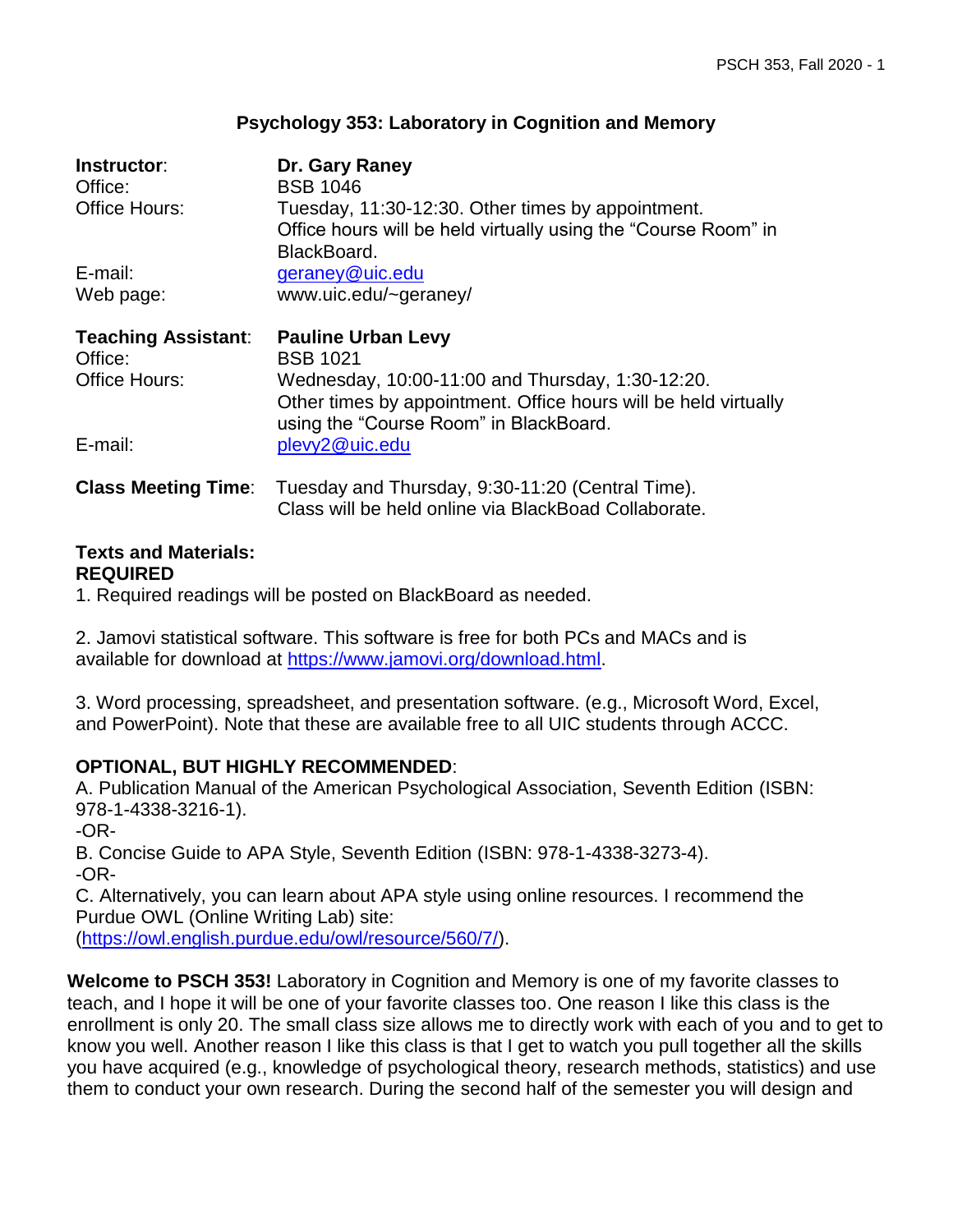## **Psychology 353: Laboratory in Cognition and Memory**

| Instructor:                | Dr. Gary Raney                                                                                                                                                |
|----------------------------|---------------------------------------------------------------------------------------------------------------------------------------------------------------|
| Office:                    | <b>BSB 1046</b>                                                                                                                                               |
| Office Hours:              | Tuesday, 11:30-12:30. Other times by appointment.<br>Office hours will be held virtually using the "Course Room" in<br>BlackBoard.                            |
| E-mail:                    | geraney@uic.edu                                                                                                                                               |
| Web page:                  | www.uic.edu/~geraney/                                                                                                                                         |
| <b>Teaching Assistant:</b> | <b>Pauline Urban Levy</b>                                                                                                                                     |
| Office:                    | <b>BSB 1021</b>                                                                                                                                               |
| Office Hours:              | Wednesday, 10:00-11:00 and Thursday, 1:30-12:20.<br>Other times by appointment. Office hours will be held virtually<br>using the "Course Room" in BlackBoard. |
| E-mail:                    | plevy2@uic.edu                                                                                                                                                |
| <b>Class Meeting Time:</b> | Tuesday and Thursday, 9:30-11:20 (Central Time).<br>Class will be held online via BlackBoad Collaborate.                                                      |

# **Texts and Materials: REQUIRED**

1. Required readings will be posted on BlackBoard as needed.

2. Jamovi statistical software. This software is free for both PCs and MACs and is available for download at [https://www.jamovi.org/download.html.](https://www.jamovi.org/download.html)

3. Word processing, spreadsheet, and presentation software. (e.g., Microsoft Word, Excel, and PowerPoint). Note that these are available free to all UIC students through ACCC.

## **OPTIONAL, BUT HIGHLY RECOMMENDED**:

A. Publication Manual of the American Psychological Association, Seventh Edition (ISBN: 978-1-4338-3216-1).

-OR-

B. Concise Guide to APA Style, Seventh Edition (ISBN: 978-1-4338-3273-4). -OR-

C. Alternatively, you can learn about APA style using online resources. I recommend the Purdue OWL (Online Writing Lab) site:

[\(https://owl.english.purdue.edu/owl/resource/560/7/\)](https://owl.english.purdue.edu/owl/resource/560/7/).

**Welcome to PSCH 353!** Laboratory in Cognition and Memory is one of my favorite classes to teach, and I hope it will be one of your favorite classes too. One reason I like this class is the enrollment is only 20. The small class size allows me to directly work with each of you and to get to know you well. Another reason I like this class is that I get to watch you pull together all the skills you have acquired (e.g., knowledge of psychological theory, research methods, statistics) and use them to conduct your own research. During the second half of the semester you will design and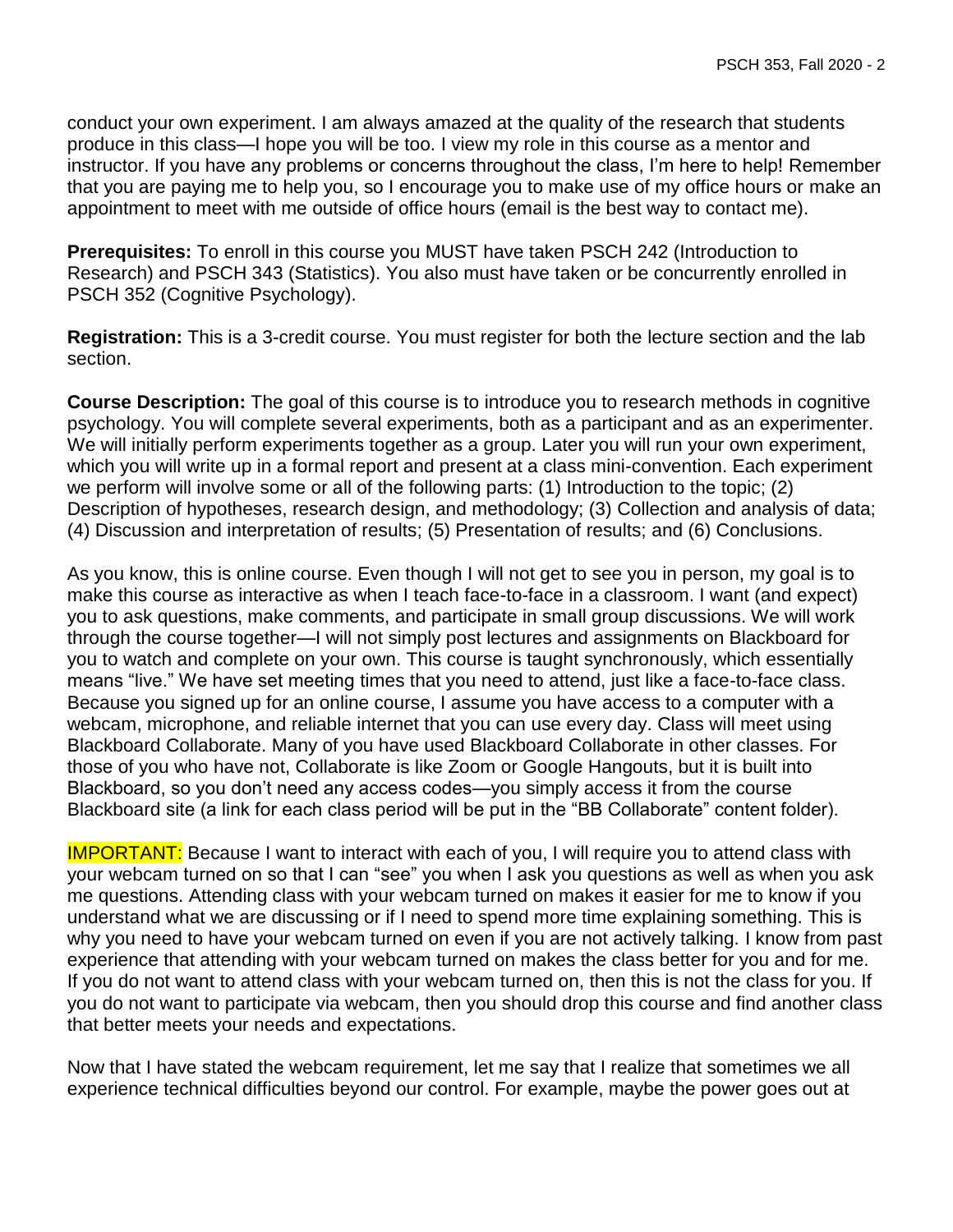conduct your own experiment. I am always amazed at the quality of the research that students produce in this class—I hope you will be too. I view my role in this course as a mentor and instructor. If you have any problems or concerns throughout the class, I'm here to help! Remember that you are paying me to help you, so I encourage you to make use of my office hours or make an appointment to meet with me outside of office hours (email is the best way to contact me).

**Prerequisites:** To enroll in this course you MUST have taken PSCH 242 (Introduction to Research) and PSCH 343 (Statistics). You also must have taken or be concurrently enrolled in PSCH 352 (Cognitive Psychology).

**Registration:** This is a 3-credit course. You must register for both the lecture section and the lab section.

**Course Description:** The goal of this course is to introduce you to research methods in cognitive psychology. You will complete several experiments, both as a participant and as an experimenter. We will initially perform experiments together as a group. Later you will run your own experiment, which you will write up in a formal report and present at a class mini-convention. Each experiment we perform will involve some or all of the following parts: (1) Introduction to the topic; (2) Description of hypotheses, research design, and methodology; (3) Collection and analysis of data; (4) Discussion and interpretation of results; (5) Presentation of results; and (6) Conclusions.

As you know, this is online course. Even though I will not get to see you in person, my goal is to make this course as interactive as when I teach face-to-face in a classroom. I want (and expect) you to ask questions, make comments, and participate in small group discussions. We will work through the course together—I will not simply post lectures and assignments on Blackboard for you to watch and complete on your own. This course is taught synchronously, which essentially means "live." We have set meeting times that you need to attend, just like a face-to-face class. Because you signed up for an online course, I assume you have access to a computer with a webcam, microphone, and reliable internet that you can use every day. Class will meet using Blackboard Collaborate. Many of you have used Blackboard Collaborate in other classes. For those of you who have not, Collaborate is like Zoom or Google Hangouts, but it is built into Blackboard, so you don't need any access codes—you simply access it from the course Blackboard site (a link for each class period will be put in the "BB Collaborate" content folder).

**IMPORTANT:** Because I want to interact with each of you, I will require you to attend class with your webcam turned on so that I can "see" you when I ask you questions as well as when you ask me questions. Attending class with your webcam turned on makes it easier for me to know if you understand what we are discussing or if I need to spend more time explaining something. This is why you need to have your webcam turned on even if you are not actively talking. I know from past experience that attending with your webcam turned on makes the class better for you and for me. If you do not want to attend class with your webcam turned on, then this is not the class for you. If you do not want to participate via webcam, then you should drop this course and find another class that better meets your needs and expectations.

Now that I have stated the webcam requirement, let me say that I realize that sometimes we all experience technical difficulties beyond our control. For example, maybe the power goes out at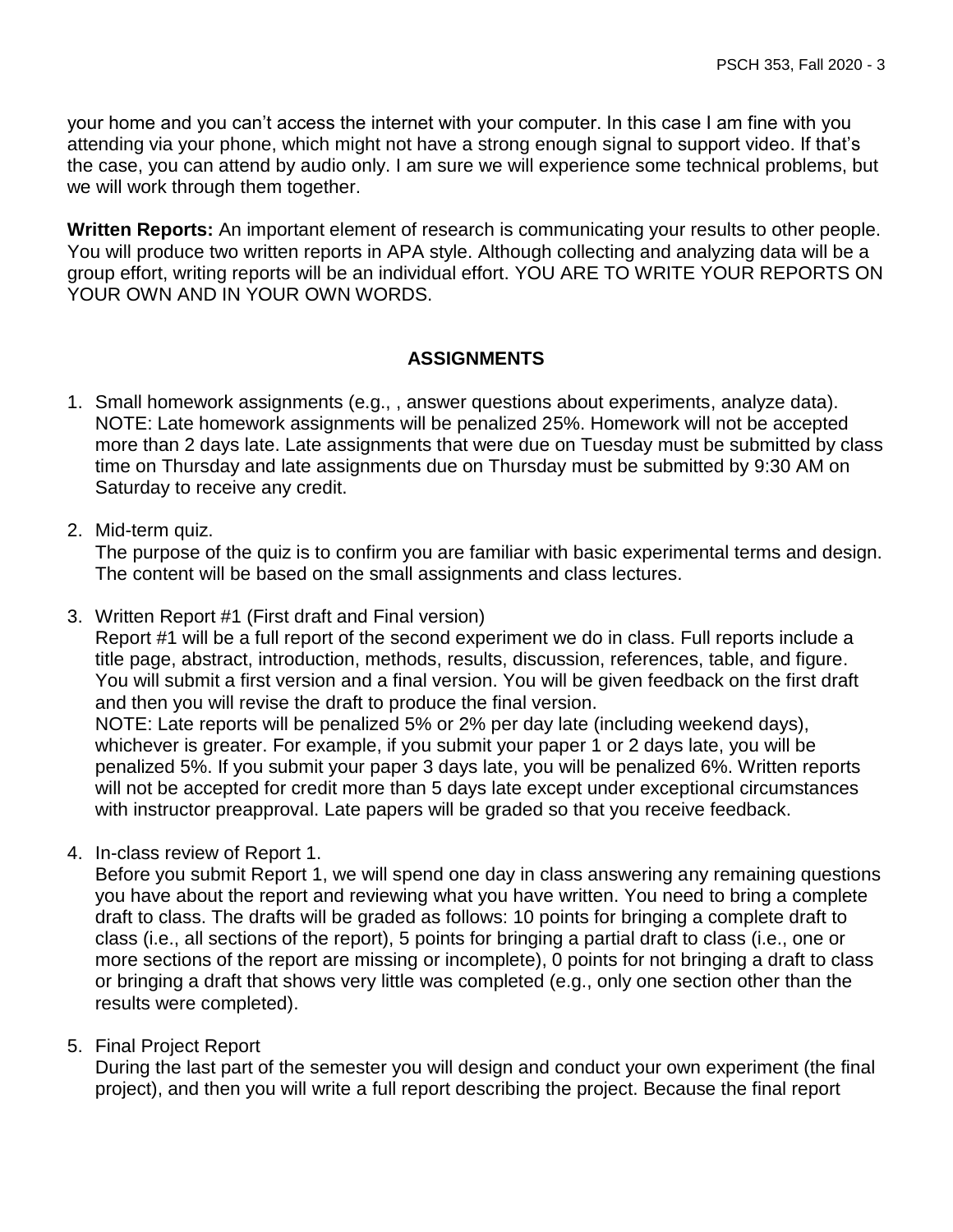your home and you can't access the internet with your computer. In this case I am fine with you attending via your phone, which might not have a strong enough signal to support video. If that's the case, you can attend by audio only. I am sure we will experience some technical problems, but we will work through them together.

**Written Reports:** An important element of research is communicating your results to other people. You will produce two written reports in APA style. Although collecting and analyzing data will be a group effort, writing reports will be an individual effort. YOU ARE TO WRITE YOUR REPORTS ON YOUR OWN AND IN YOUR OWN WORDS.

# **ASSIGNMENTS**

- 1. Small homework assignments (e.g., , answer questions about experiments, analyze data). NOTE: Late homework assignments will be penalized 25%. Homework will not be accepted more than 2 days late. Late assignments that were due on Tuesday must be submitted by class time on Thursday and late assignments due on Thursday must be submitted by 9:30 AM on Saturday to receive any credit.
- 2. Mid-term quiz.

The purpose of the quiz is to confirm you are familiar with basic experimental terms and design. The content will be based on the small assignments and class lectures.

3. Written Report #1 (First draft and Final version)

Report #1 will be a full report of the second experiment we do in class. Full reports include a title page, abstract, introduction, methods, results, discussion, references, table, and figure. You will submit a first version and a final version. You will be given feedback on the first draft and then you will revise the draft to produce the final version.

NOTE: Late reports will be penalized 5% or 2% per day late (including weekend days), whichever is greater. For example, if you submit your paper 1 or 2 days late, you will be penalized 5%. If you submit your paper 3 days late, you will be penalized 6%. Written reports will not be accepted for credit more than 5 days late except under exceptional circumstances with instructor preapproval. Late papers will be graded so that you receive feedback.

4. In-class review of Report 1.

Before you submit Report 1, we will spend one day in class answering any remaining questions you have about the report and reviewing what you have written. You need to bring a complete draft to class. The drafts will be graded as follows: 10 points for bringing a complete draft to class (i.e., all sections of the report), 5 points for bringing a partial draft to class (i.e., one or more sections of the report are missing or incomplete), 0 points for not bringing a draft to class or bringing a draft that shows very little was completed (e.g., only one section other than the results were completed).

## 5. Final Project Report

During the last part of the semester you will design and conduct your own experiment (the final project), and then you will write a full report describing the project. Because the final report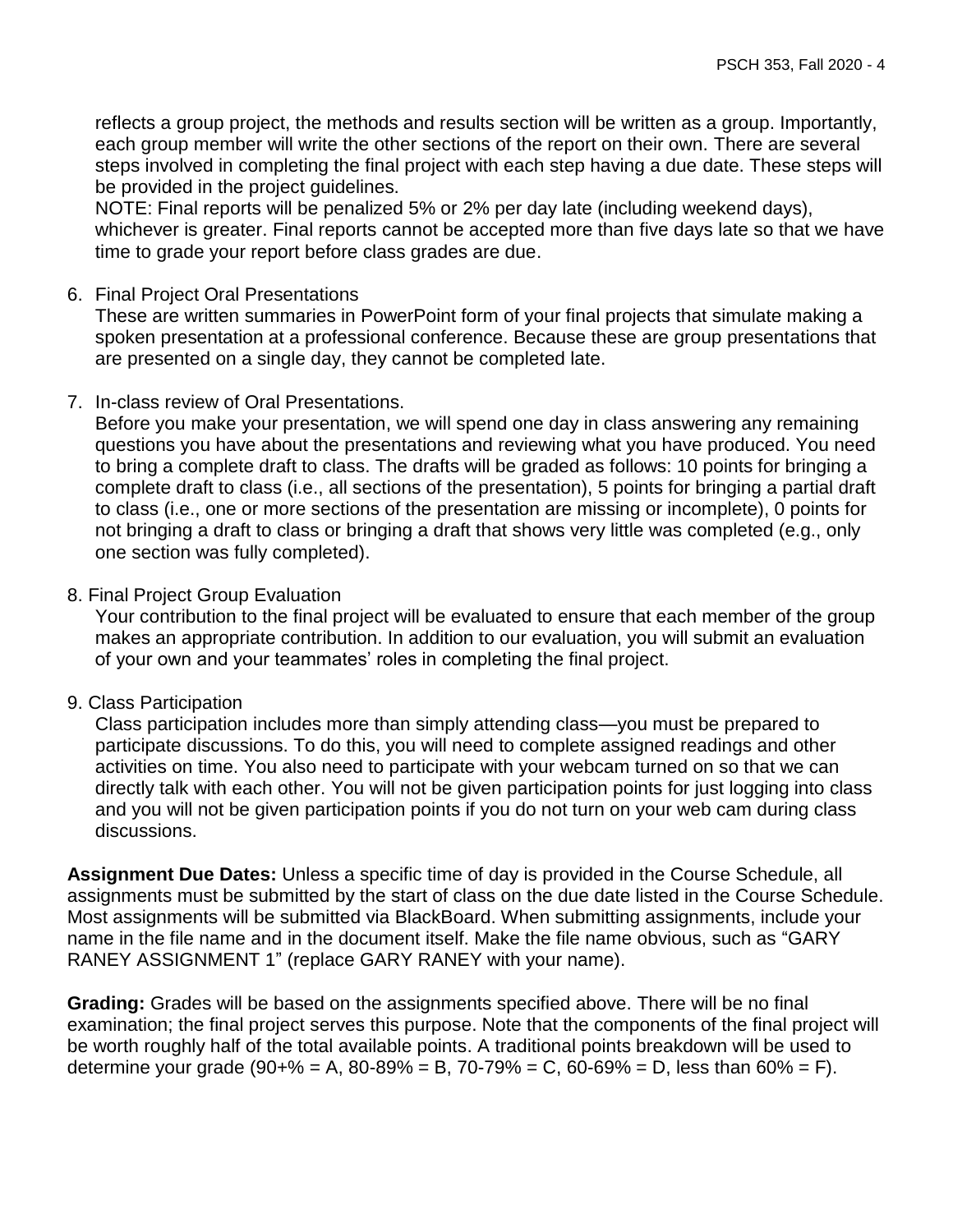reflects a group project, the methods and results section will be written as a group. Importantly, each group member will write the other sections of the report on their own. There are several steps involved in completing the final project with each step having a due date. These steps will be provided in the project guidelines.

NOTE: Final reports will be penalized 5% or 2% per day late (including weekend days), whichever is greater. Final reports cannot be accepted more than five days late so that we have time to grade your report before class grades are due.

#### 6. Final Project Oral Presentations

These are written summaries in PowerPoint form of your final projects that simulate making a spoken presentation at a professional conference. Because these are group presentations that are presented on a single day, they cannot be completed late.

7. In-class review of Oral Presentations.

Before you make your presentation, we will spend one day in class answering any remaining questions you have about the presentations and reviewing what you have produced. You need to bring a complete draft to class. The drafts will be graded as follows: 10 points for bringing a complete draft to class (i.e., all sections of the presentation), 5 points for bringing a partial draft to class (i.e., one or more sections of the presentation are missing or incomplete), 0 points for not bringing a draft to class or bringing a draft that shows very little was completed (e.g., only one section was fully completed).

## 8. Final Project Group Evaluation

Your contribution to the final project will be evaluated to ensure that each member of the group makes an appropriate contribution. In addition to our evaluation, you will submit an evaluation of your own and your teammates' roles in completing the final project.

## 9. Class Participation

Class participation includes more than simply attending class—you must be prepared to participate discussions. To do this, you will need to complete assigned readings and other activities on time. You also need to participate with your webcam turned on so that we can directly talk with each other. You will not be given participation points for just logging into class and you will not be given participation points if you do not turn on your web cam during class discussions.

**Assignment Due Dates:** Unless a specific time of day is provided in the Course Schedule, all assignments must be submitted by the start of class on the due date listed in the Course Schedule. Most assignments will be submitted via BlackBoard. When submitting assignments, include your name in the file name and in the document itself. Make the file name obvious, such as "GARY RANEY ASSIGNMENT 1" (replace GARY RANEY with your name).

**Grading:** Grades will be based on the assignments specified above. There will be no final examination; the final project serves this purpose. Note that the components of the final project will be worth roughly half of the total available points. A traditional points breakdown will be used to determine your grade (90+% = A, 80-89% = B, 70-79% = C, 60-69% = D, less than 60% = F).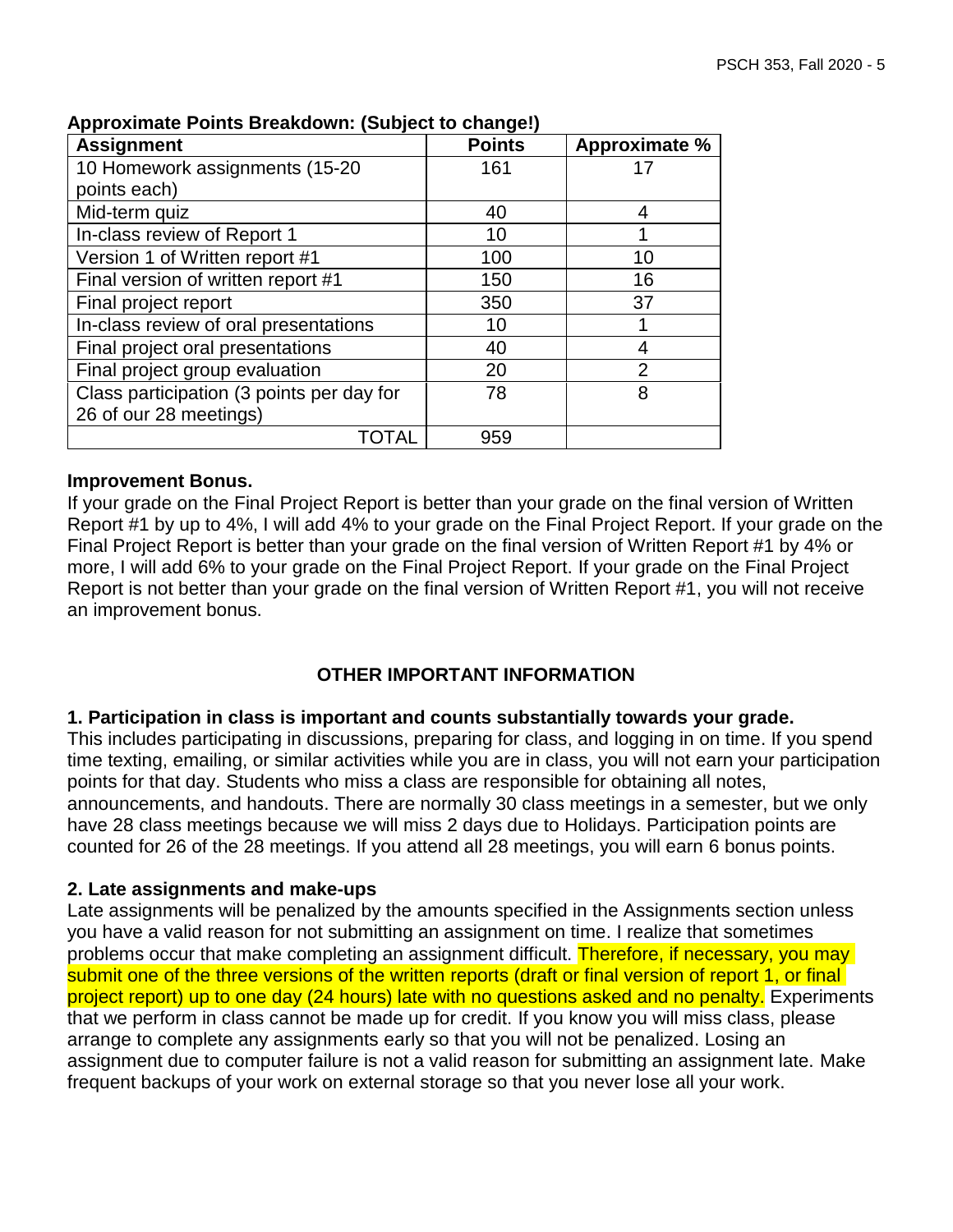| <b>Assignment</b>                         | <b>Points</b> | <b>Approximate %</b> |
|-------------------------------------------|---------------|----------------------|
| 10 Homework assignments (15-20            | 161           |                      |
| points each)                              |               |                      |
| Mid-term quiz                             | 40            | 4                    |
| In-class review of Report 1               | 10            |                      |
| Version 1 of Written report #1            | 100           | 10                   |
| Final version of written report #1        | 150           | 16                   |
| Final project report                      | 350           | 37                   |
| In-class review of oral presentations     | 10            |                      |
| Final project oral presentations          | 40            |                      |
| Final project group evaluation            | 20            | $\overline{2}$       |
| Class participation (3 points per day for | 78            | 8                    |
| 26 of our 28 meetings)                    |               |                      |
| TOTAL                                     | 959           |                      |

#### **Approximate Points Breakdown: (Subject to change!)**

#### **Improvement Bonus.**

If your grade on the Final Project Report is better than your grade on the final version of Written Report #1 by up to 4%, I will add 4% to your grade on the Final Project Report. If your grade on the Final Project Report is better than your grade on the final version of Written Report #1 by 4% or more, I will add 6% to your grade on the Final Project Report. If your grade on the Final Project Report is not better than your grade on the final version of Written Report #1, you will not receive an improvement bonus.

# **OTHER IMPORTANT INFORMATION**

## **1. Participation in class is important and counts substantially towards your grade.**

This includes participating in discussions, preparing for class, and logging in on time. If you spend time texting, emailing, or similar activities while you are in class, you will not earn your participation points for that day. Students who miss a class are responsible for obtaining all notes, announcements, and handouts. There are normally 30 class meetings in a semester, but we only have 28 class meetings because we will miss 2 days due to Holidays. Participation points are counted for 26 of the 28 meetings. If you attend all 28 meetings, you will earn 6 bonus points.

## **2. Late assignments and make-ups**

Late assignments will be penalized by the amounts specified in the Assignments section unless you have a valid reason for not submitting an assignment on time. I realize that sometimes problems occur that make completing an assignment difficult. Therefore, if necessary, you may submit one of the three versions of the written reports (draft or final version of report 1, or final project report) up to one day (24 hours) late with no questions asked and no penalty. Experiments that we perform in class cannot be made up for credit. If you know you will miss class, please arrange to complete any assignments early so that you will not be penalized. Losing an assignment due to computer failure is not a valid reason for submitting an assignment late. Make frequent backups of your work on external storage so that you never lose all your work.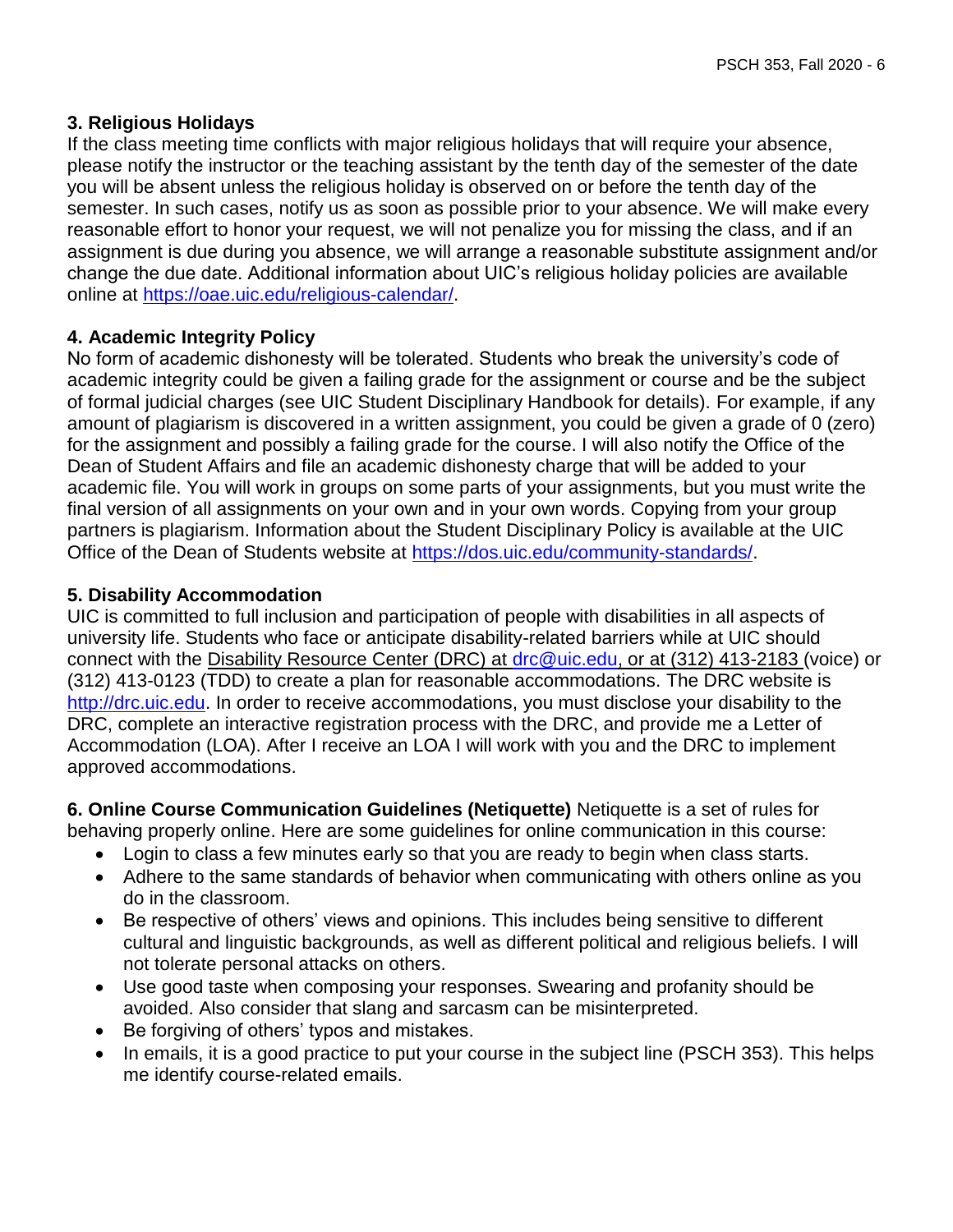# **3. Religious Holidays**

If the class meeting time conflicts with major religious holidays that will require your absence, please notify the instructor or the teaching assistant by the tenth day of the semester of the date you will be absent unless the religious holiday is observed on or before the tenth day of the semester. In such cases, notify us as soon as possible prior to your absence. We will make every reasonable effort to honor your request, we will not penalize you for missing the class, and if an assignment is due during you absence, we will arrange a reasonable substitute assignment and/or change the due date. Additional information about UIC's religious holiday policies are available online at [https://oae.uic.edu/religious-calendar/.](https://oae.uic.edu/religious-calendar/)

# **4. Academic Integrity Policy**

No form of academic dishonesty will be tolerated. Students who break the university's code of academic integrity could be given a failing grade for the assignment or course and be the subject of formal judicial charges (see UIC Student Disciplinary Handbook for details). For example, if any amount of plagiarism is discovered in a written assignment, you could be given a grade of 0 (zero) for the assignment and possibly a failing grade for the course. I will also notify the Office of the Dean of Student Affairs and file an academic dishonesty charge that will be added to your academic file. You will work in groups on some parts of your assignments, but you must write the final version of all assignments on your own and in your own words. Copying from your group partners is plagiarism. Information about the Student Disciplinary Policy is available at the UIC Office of the Dean of Students website at [https://dos.uic.edu/community-standards/.](https://dos.uic.edu/community-standards/)

# **5. Disability Accommodation**

UIC is committed to full inclusion and participation of people with disabilities in all aspects of university life. Students who face or anticipate disability-related barriers while at UIC should connect with the Disability Resource Center (DRC) at [drc@uic.edu,](mailto:drc@uic.edu) or at (312) 413-2183 (voice) or (312) 413-0123 (TDD) to create a plan for reasonable accommodations. The DRC website is [http://drc.uic.edu.](http://drc.uic.edu/) In order to receive accommodations, you must disclose your disability to the DRC, complete an interactive registration process with the DRC, and provide me a Letter of Accommodation (LOA). After I receive an LOA I will work with you and the DRC to implement approved accommodations.

**6. Online Course Communication Guidelines (Netiquette)** Netiquette is a set of rules for behaving properly online. Here are some guidelines for online communication in this course:

- Login to class a few minutes early so that you are ready to begin when class starts.
- Adhere to the same standards of behavior when communicating with others online as you do in the classroom.
- Be respective of others' views and opinions. This includes being sensitive to different cultural and linguistic backgrounds, as well as different political and religious beliefs. I will not tolerate personal attacks on others.
- Use good taste when composing your responses. Swearing and profanity should be avoided. Also consider that slang and sarcasm can be misinterpreted.
- Be forgiving of others' typos and mistakes.
- In emails, it is a good practice to put your course in the subject line (PSCH 353). This helps me identify course-related emails.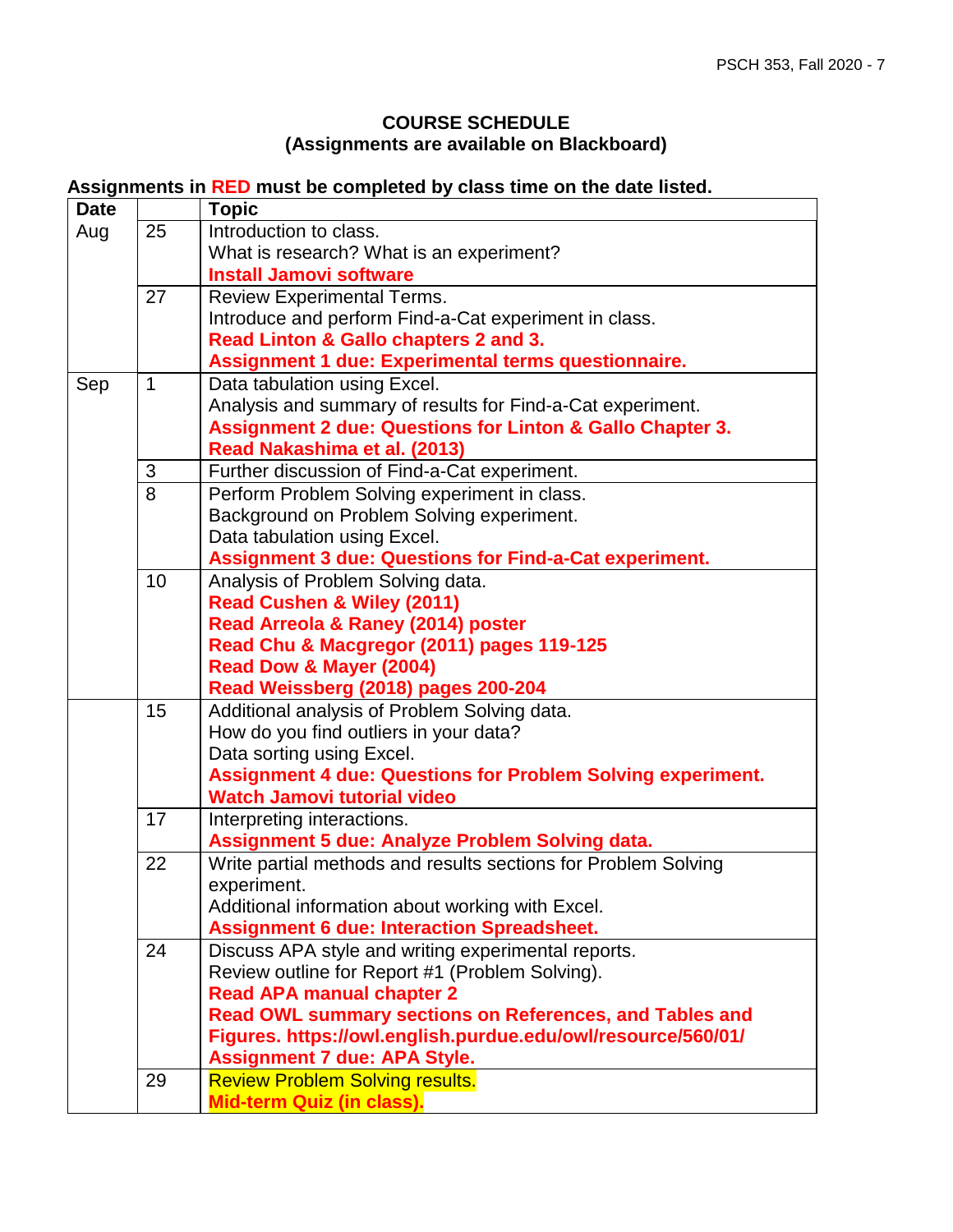# **COURSE SCHEDULE (Assignments are available on Blackboard)**

# **Assignments in RED must be completed by class time on the date listed.**

| <b>Date</b> |             | <b>Topic</b>                                                         |
|-------------|-------------|----------------------------------------------------------------------|
| Aug         | 25          | Introduction to class.                                               |
|             |             | What is research? What is an experiment?                             |
|             |             | <b>Install Jamovi software</b>                                       |
|             | 27          | <b>Review Experimental Terms.</b>                                    |
|             |             | Introduce and perform Find-a-Cat experiment in class.                |
|             |             | Read Linton & Gallo chapters 2 and 3.                                |
|             |             | Assignment 1 due: Experimental terms questionnaire.                  |
| Sep         | $\mathbf 1$ | Data tabulation using Excel.                                         |
|             |             | Analysis and summary of results for Find-a-Cat experiment.           |
|             |             | <b>Assignment 2 due: Questions for Linton &amp; Gallo Chapter 3.</b> |
|             |             | Read Nakashima et al. (2013)                                         |
|             | 3           | Further discussion of Find-a-Cat experiment.                         |
|             | 8           | Perform Problem Solving experiment in class.                         |
|             |             | Background on Problem Solving experiment.                            |
|             |             | Data tabulation using Excel.                                         |
|             |             | <b>Assignment 3 due: Questions for Find-a-Cat experiment.</b>        |
|             | 10          | Analysis of Problem Solving data.                                    |
|             |             | <b>Read Cushen &amp; Wiley (2011)</b>                                |
|             |             | Read Arreola & Raney (2014) poster                                   |
|             |             | Read Chu & Macgregor (2011) pages 119-125                            |
|             |             | Read Dow & Mayer (2004)                                              |
|             |             | Read Weissberg (2018) pages 200-204                                  |
|             | 15          | Additional analysis of Problem Solving data.                         |
|             |             | How do you find outliers in your data?                               |
|             |             | Data sorting using Excel.                                            |
|             |             | <b>Assignment 4 due: Questions for Problem Solving experiment.</b>   |
|             |             | <b>Watch Jamovi tutorial video</b>                                   |
|             | 17          | Interpreting interactions.                                           |
|             |             | Assignment 5 due: Analyze Problem Solving data.                      |
|             | 22          | Write partial methods and results sections for Problem Solving       |
|             |             | experiment.                                                          |
|             |             | Additional information about working with Excel.                     |
|             |             | <b>Assignment 6 due: Interaction Spreadsheet.</b>                    |
|             | 24          | Discuss APA style and writing experimental reports.                  |
|             |             | Review outline for Report #1 (Problem Solving).                      |
|             |             | <b>Read APA manual chapter 2</b>                                     |
|             |             | Read OWL summary sections on References, and Tables and              |
|             |             | Figures. https://owl.english.purdue.edu/owl/resource/560/01/         |
|             |             | <b>Assignment 7 due: APA Style.</b>                                  |
|             | 29          | <b>Review Problem Solving results.</b>                               |
|             |             | Mid-term Quiz (in class).                                            |